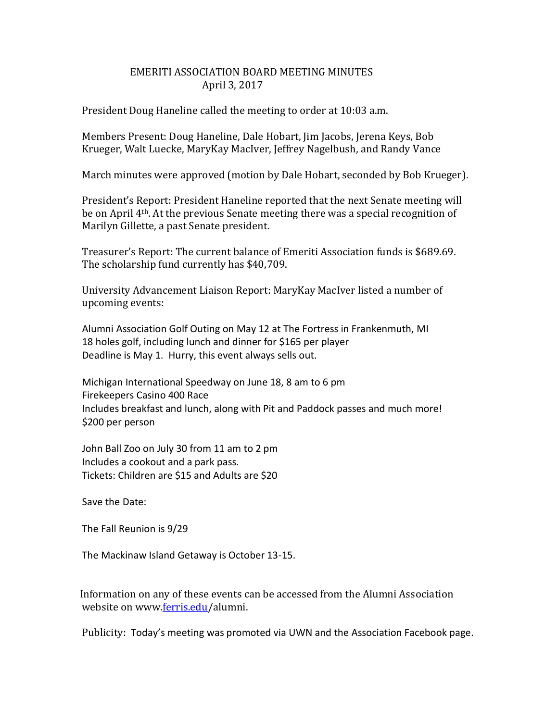## EMERITI ASSOCIATION BOARD MEETING MINUTES April 3, 2017

President Doug Haneline called the meeting to order at 10:03 a.m.

Members Present: Doug Haneline, Dale Hobart, Jim Jacobs, Jerena Keys, Bob Krueger, Walt Luecke, MaryKay MacIver, Jeffrey Nagelbush, and Randy Vance

March minutes were approved (motion by Dale Hobart, seconded by Bob Krueger).

President's Report: President Haneline reported that the next Senate meeting will be on April 4th. At the previous Senate meeting there was a special recognition of Marilyn Gillette, a past Senate president.

Treasurer's Report: The current balance of Emeriti Association funds is \$689.69. The scholarship fund currently has \$40,709.

University Advancement Liaison Report: MaryKay MacIver listed a number of upcoming events:

Alumni Association Golf Outing on May 12 at The Fortress in Frankenmuth, MI 18 holes golf, including lunch and dinner for \$165 per player Deadline is May 1. Hurry, this event always sells out.

Michigan International Speedway on June 18, 8 am to 6 pm Firekeepers Casino 400 Race Includes breakfast and lunch, along with Pit and Paddock passes and much more! \$200 per person

John Ball Zoo on July 30 from 11 am to 2 pm Includes a cookout and a park pass. Tickets: Children are \$15 and Adults are \$20

Save the Date:

The Fall Reunion is 9/29

The Mackinaw Island Getaway is October 13-15.

 Information on any of these events can be accessed from the Alumni Association website on www[.ferris.edu/](http://ferris.edu/)alumni.

Publicity: Today's meeting was promoted via UWN and the Association Facebook page.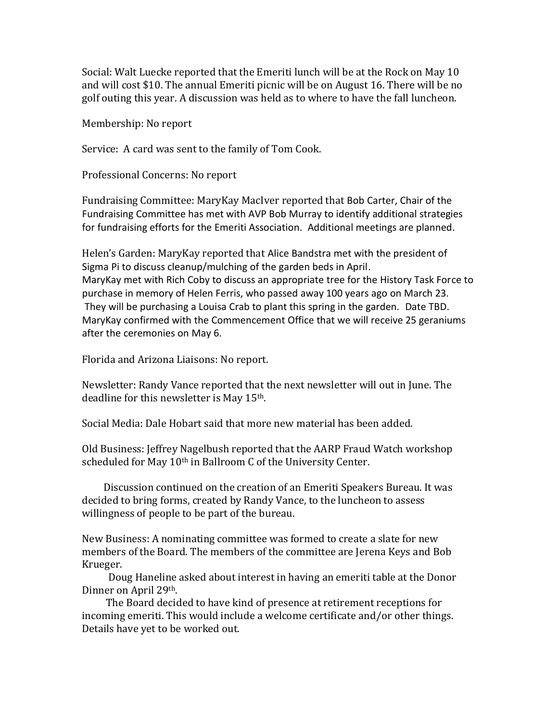Social: Walt Luecke reported that the Emeriti lunch will be at the Rock on May 10 and will cost \$10. The annual Emeriti picnic will be on August 16. There will be no golf outing this year. A discussion was held as to where to have the fall luncheon.

Membership: No report

Service: A card was sent to the family of Tom Cook.

Professional Concerns: No report

Fundraising Committee: MaryKay MacIver reported that Bob Carter, Chair of the Fundraising Committee has met with AVP Bob Murray to identify additional strategies for fundraising efforts for the Emeriti Association. Additional meetings are planned.

Helen's Garden: MaryKay reported that Alice Bandstra met with the president of Sigma Pi to discuss cleanup/mulching of the garden beds in April. MaryKay met with Rich Coby to discuss an appropriate tree for the History Task Force to purchase in memory of Helen Ferris, who passed away 100 years ago on March 23. They will be purchasing a Louisa Crab to plant this spring in the garden. Date TBD. MaryKay confirmed with the Commencement Office that we will receive 25 geraniums after the ceremonies on May 6.

Florida and Arizona Liaisons: No report.

Newsletter: Randy Vance reported that the next newsletter will out in June. The deadline for this newsletter is May 15th.

Social Media: Dale Hobart said that more new material has been added.

Old Business: Jeffrey Nagelbush reported that the AARP Fraud Watch workshop scheduled for May 10<sup>th</sup> in Ballroom C of the University Center.

 Discussion continued on the creation of an Emeriti Speakers Bureau. It was decided to bring forms, created by Randy Vance, to the luncheon to assess willingness of people to be part of the bureau.

New Business: A nominating committee was formed to create a slate for new members of the Board. The members of the committee are Jerena Keys and Bob Krueger.

 Doug Haneline asked about interest in having an emeriti table at the Donor Dinner on April 29th.

 The Board decided to have kind of presence at retirement receptions for incoming emeriti. This would include a welcome certificate and/or other things. Details have yet to be worked out.